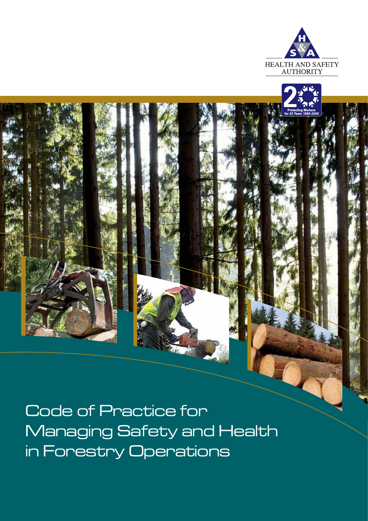

Code of Practice for Managing Safety and Health in Forestry Operations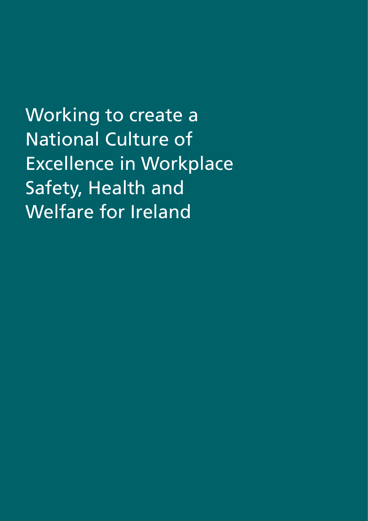Working to create a National Culture of Excellence in Workplace Safety, Health and Welfare for Ireland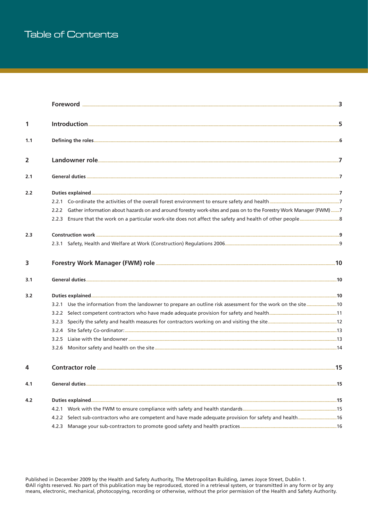# **Table of Contents**

| 1   |                                                                                                                          |  |
|-----|--------------------------------------------------------------------------------------------------------------------------|--|
| 1.1 |                                                                                                                          |  |
| 2   |                                                                                                                          |  |
| 2.1 |                                                                                                                          |  |
| 2.2 |                                                                                                                          |  |
|     |                                                                                                                          |  |
|     | 2.2.2 Gather information about hazards on and around forestry work-sites and pass on to the Forestry Work Manager (FWM)7 |  |
|     |                                                                                                                          |  |
| 2.3 |                                                                                                                          |  |
|     |                                                                                                                          |  |
| 3   |                                                                                                                          |  |
| 3.1 |                                                                                                                          |  |
| 3.2 |                                                                                                                          |  |
|     |                                                                                                                          |  |
|     |                                                                                                                          |  |
|     | 3.2.3                                                                                                                    |  |
|     | 3.2.4                                                                                                                    |  |
|     | 3.2.5                                                                                                                    |  |
|     |                                                                                                                          |  |
| 4   |                                                                                                                          |  |
| 4.1 |                                                                                                                          |  |
| 4.2 |                                                                                                                          |  |
|     |                                                                                                                          |  |
|     | Select sub-contractors who are competent and have made adequate provision for safety and health16<br>4.2.2               |  |
|     |                                                                                                                          |  |

Published in December 2009 by the Health and Safety Authority, The Metropolitan Building, James Joyce Street, Dublin 1.<br>©All rights reserved. No part of this publication may be reproduced, stored in a retrieval system, or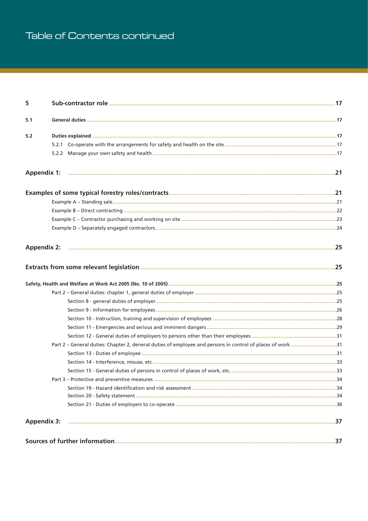# Table of Contents continued

| 5   |                    |  |
|-----|--------------------|--|
| 5.1 |                    |  |
| 5.2 |                    |  |
|     |                    |  |
|     |                    |  |
|     | <b>Appendix 1:</b> |  |
|     |                    |  |
|     |                    |  |
|     |                    |  |
|     |                    |  |
|     |                    |  |
|     | <b>Appendix 2:</b> |  |
|     |                    |  |
|     |                    |  |
|     |                    |  |
|     |                    |  |
|     |                    |  |
|     |                    |  |
|     |                    |  |
|     |                    |  |
|     |                    |  |
|     |                    |  |
|     |                    |  |
|     |                    |  |
|     |                    |  |
|     |                    |  |
|     |                    |  |
|     |                    |  |
|     | <b>Appendix 3:</b> |  |
|     |                    |  |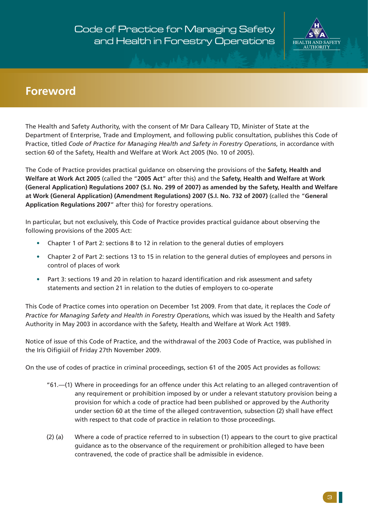## Code of Practice for Managing Safety and Health in Forestry Operations



## **Foreword**

The Health and Safety Authority, with the consent of Mr Dara Calleary TD, Minister of State at the Department of Enterprise, Trade and Employment, and following public consultation, publishes this Code of Practice, titled *Code of Practice for Managing Health and Safety in Forestry Operations*, in accordance with section 60 of the Safety, Health and Welfare at Work Act 2005 (No. 10 of 2005).

The Code of Practice provides practical guidance on observing the provisions of the **Safety, Health and Welfare at Work Act 2005** (called the "**2005 Act**" after this) and the **Safety, Health and Welfare at Work (General Application) Regulations 2007 (S.I. No. 299 of 2007) as amended by the Safety, Health and Welfare at Work (General Application) (Amendment Regulations) 2007 (S.I. No. 732 of 2007)** (called the "**General Application Regulations 2007**" after this) for forestry operations.

In particular, but not exclusively, this Code of Practice provides practical guidance about observing the following provisions of the 2005 Act:

- Chapter 1 of Part 2: sections 8 to 12 in relation to the general duties of employers
- Chapter 2 of Part 2: sections 13 to 15 in relation to the general duties of employees and persons in control of places of work
- Part 3: sections 19 and 20 in relation to hazard identification and risk assessment and safety statements and section 21 in relation to the duties of employers to co-operate

This Code of Practice comes into operation on December 1st 2009. From that date, it replaces the *Code of Practice for Managing Safety and Health in Forestry Operations*, which was issued by the Health and Safety Authority in May 2003 in accordance with the Safety, Health and Welfare at Work Act 1989.

Notice of issue of this Code of Practice, and the withdrawal of the 2003 Code of Practice, was published in the Iris Oifigiúil of Friday 27th November 2009.

On the use of codes of practice in criminal proceedings, section 61 of the 2005 Act provides as follows:

- "61.—(1) Where in proceedings for an offence under this Act relating to an alleged contravention of any requirement or prohibition imposed by or under a relevant statutory provision being a provision for which a code of practice had been published or approved by the Authority under section 60 at the time of the alleged contravention, subsection (2) shall have effect with respect to that code of practice in relation to those proceedings.
- (2) (a) Where a code of practice referred to in subsection (1) appears to the court to give practical guidance as to the observance of the requirement or prohibition alleged to have been contravened, the code of practice shall be admissible in evidence.

3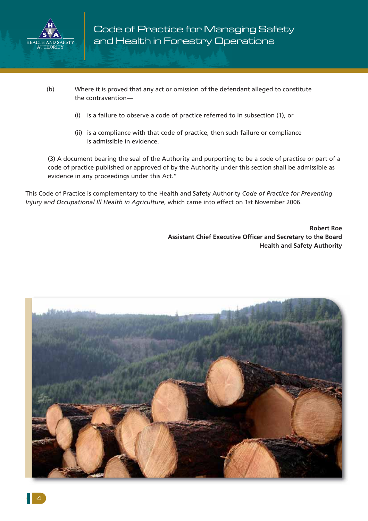

- (b) Where it is proved that any act or omission of the defendant alleged to constitute the contravention—
	- (i) is a failure to observe a code of practice referred to in subsection (1), or
	- (ii) is a compliance with that code of practice, then such failure or compliance is admissible in evidence.

(3) A document bearing the seal of the Authority and purporting to be a code of practice or part of a code of practice published or approved of by the Authority under this section shall be admissible as evidence in any proceedings under this Act."

This Code of Practice is complementary to the Health and Safety Authority *Code of Practice for Preventing Injury and Occupational Ill Health in Agriculture*, which came into effect on 1st November 2006.

> **Robert Roe Assistant Chief Executive Officer and Secretary to the Board Health and Safety Authority**

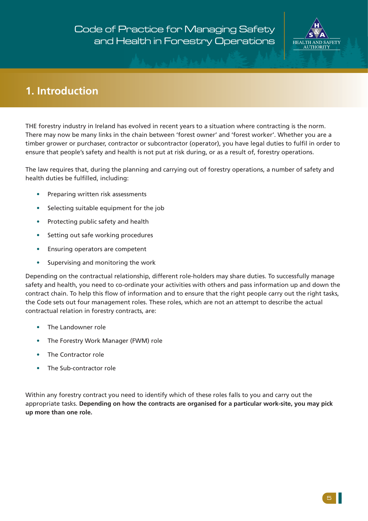# Code of Practice for Managing Safety and Health in Forestry Operations



# **1. Introduction**

THE forestry industry in Ireland has evolved in recent years to a situation where contracting is the norm. There may now be many links in the chain between 'forest owner' and 'forest worker'. Whether you are a timber grower or purchaser, contractor or subcontractor (operator), you have legal duties to fulfil in order to ensure that people's safety and health is not put at risk during, or as a result of, forestry operations.

The law requires that, during the planning and carrying out of forestry operations, a number of safety and health duties be fulfilled, including:

- Preparing written risk assessments
- Selecting suitable equipment for the job
- Protecting public safety and health
- Setting out safe working procedures
- Ensuring operators are competent
- Supervising and monitoring the work

Depending on the contractual relationship, different role-holders may share duties. To successfully manage safety and health, you need to co-ordinate your activities with others and pass information up and down the contract chain. To help this flow of information and to ensure that the right people carry out the right tasks, the Code sets out four management roles. These roles, which are not an attempt to describe the actual contractual relation in forestry contracts, are:

- The Landowner role
- The Forestry Work Manager (FWM) role
- The Contractor role
- The Sub-contractor role

Within any forestry contract you need to identify which of these roles falls to you and carry out the appropriate tasks. **Depending on how the contracts are organised for a particular work-site, you may pick up more than one role.**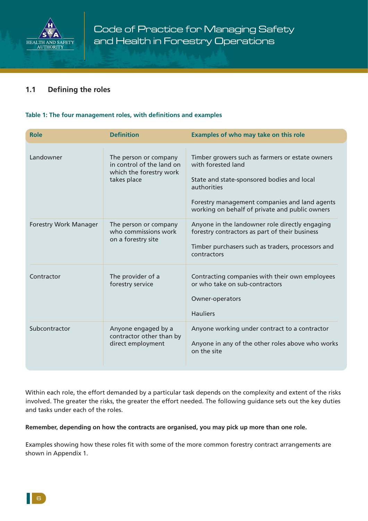

6

## **1.1 Defining the roles**

## **Table 1: The four management roles, with definitions and examples**

| <b>Role</b>                  | <b>Definition</b>                                                                            | <b>Examples of who may take on this role</b>                                                                                                                                                                                          |
|------------------------------|----------------------------------------------------------------------------------------------|---------------------------------------------------------------------------------------------------------------------------------------------------------------------------------------------------------------------------------------|
| Landowner                    | The person or company<br>in control of the land on<br>which the forestry work<br>takes place | Timber growers such as farmers or estate owners<br>with forested land<br>State and state-sponsored bodies and local<br>authorities<br>Forestry management companies and land agents<br>working on behalf of private and public owners |
| <b>Forestry Work Manager</b> | The person or company<br>who commissions work<br>on a forestry site                          | Anyone in the landowner role directly engaging<br>forestry contractors as part of their business<br>Timber purchasers such as traders, processors and<br>contractors                                                                  |
| Contractor                   | The provider of a<br>forestry service                                                        | Contracting companies with their own employees<br>or who take on sub-contractors<br>Owner-operators<br><b>Hauliers</b>                                                                                                                |
| Subcontractor                | Anyone engaged by a<br>contractor other than by<br>direct employment                         | Anyone working under contract to a contractor<br>Anyone in any of the other roles above who works<br>on the site                                                                                                                      |

Within each role, the effort demanded by a particular task depends on the complexity and extent of the risks involved. The greater the risks, the greater the effort needed. The following guidance sets out the key duties and tasks under each of the roles.

**Remember, depending on how the contracts are organised, you may pick up more than one role.**

Examples showing how these roles fit with some of the more common forestry contract arrangements are shown in Appendix 1.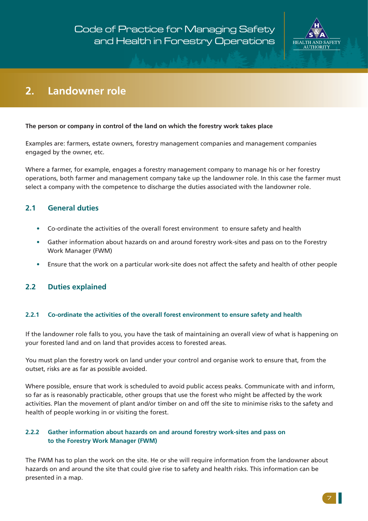

# **2. Landowner role**

## **The person or company in control of the land on which the forestry work takes place**

Examples are: farmers, estate owners, forestry management companies and management companies engaged by the owner, etc.

Where a farmer, for example, engages a forestry management company to manage his or her forestry operations, both farmer and management company take up the landowner role. In this case the farmer must select a company with the competence to discharge the duties associated with the landowner role.

## **2.1 General duties**

- Co-ordinate the activities of the overall forest environment to ensure safety and health
- Gather information about hazards on and around forestry work-sites and pass on to the Forestry Work Manager (FWM)
- Ensure that the work on a particular work-site does not affect the safety and health of other people

## **2.2 Duties explained**

## **2.2.1 Co-ordinate the activities of the overall forest environment to ensure safety and health**

If the landowner role falls to you, you have the task of maintaining an overall view of what is happening on your forested land and on land that provides access to forested areas.

You must plan the forestry work on land under your control and organise work to ensure that, from the outset, risks are as far as possible avoided.

Where possible, ensure that work is scheduled to avoid public access peaks. Communicate with and inform, so far as is reasonably practicable, other groups that use the forest who might be affected by the work activities. Plan the movement of plant and/or timber on and off the site to minimise risks to the safety and health of people working in or visiting the forest.

## **2.2.2 Gather information about hazards on and around forestry work-sites and pass on to the Forestry Work Manager (FWM)**

The FWM has to plan the work on the site. He or she will require information from the landowner about hazards on and around the site that could give rise to safety and health risks. This information can be presented in a map.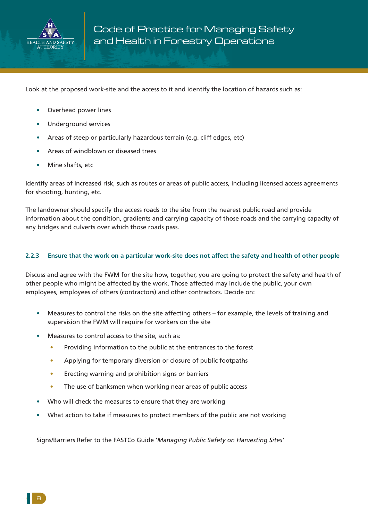

Look at the proposed work-site and the access to it and identify the location of hazards such as:

- Overhead power lines
- Underground services
- Areas of steep or particularly hazardous terrain (e.g. cliff edges, etc)
- Areas of windblown or diseased trees
- Mine shafts, etc.

8

Identify areas of increased risk, such as routes or areas of public access, including licensed access agreements for shooting, hunting, etc.

The landowner should specify the access roads to the site from the nearest public road and provide information about the condition, gradients and carrying capacity of those roads and the carrying capacity of any bridges and culverts over which those roads pass.

## **2.2.3 Ensure that the work on a particular work-site does not affect the safety and health of other people**

Discuss and agree with the FWM for the site how, together, you are going to protect the safety and health of other people who might be affected by the work. Those affected may include the public, your own employees, employees of others (contractors) and other contractors. Decide on:

- Measures to control the risks on the site affecting others for example, the levels of training and supervision the FWM will require for workers on the site
- Measures to control access to the site, such as:
	- Providing information to the public at the entrances to the forest
	- Applying for temporary diversion or closure of public footpaths
	- Erecting warning and prohibition signs or barriers
	- The use of banksmen when working near areas of public access
- Who will check the measures to ensure that they are working
- What action to take if measures to protect members of the public are not working

Signs/Barriers Refer to the FASTCo Guide '*Managing Public Safety on Harvesting Sites'*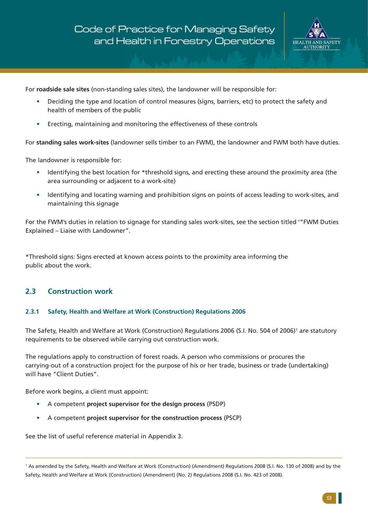

For **roadside sale sites** (non-standing sales sites), the landowner will be responsible for:

- Deciding the type and location of control measures (signs, barriers, etc) to protect the safety and health of members of the public
- Erecting, maintaining and monitoring the effectiveness of these controls

For **standing sales work-sites** (landowner sells timber to an FWM), the landowner and FWM both have duties.

The landowner is responsible for:

- Identifying the best location for \*threshold signs, and erecting these around the proximity area (the area surrounding or adjacent to a work-site)
- Identifying and locating warning and prohibition signs on points of access leading to work-sites, and maintaining this signage

For the FWM's duties in relation to signage for standing sales work-sites, see the section titled '"FWM Duties Explained – Liaise with Landowner".

\*Threshold signs: Signs erected at known access points to the proximity area informing the public about the work.

## **2.3 Construction work**

## **2.3.1 Safety, Health and Welfare at Work (Construction) Regulations 2006**

The Safety, Health and Welfare at Work (Construction) Regulations 2006 (S.I. No. 504 of 2006)<sup>1</sup> are statutory requirements to be observed while carrying out construction work.

The regulations apply to construction of forest roads. A person who commissions or procures the carrying-out of a construction project for the purpose of his or her trade, business or trade (undertaking) will have "Client Duties".

Before work begins, a client must appoint:

- A competent **project supervisor for the design process** (PSDP)
- A competent **project supervisor for the construction process** (PSCP)

See the list of useful reference material in Appendix 3.

<sup>1</sup> As amended by the Safety, Health and Welfare at Work (Construction) (Amendment) Regulations 2008 (S.I. No. 130 of 2008) and by the Safety, Health and Welfare at Work (Construction) (Amendment) (No. 2) Regulations 2008 (S.I. No. 423 of 2008).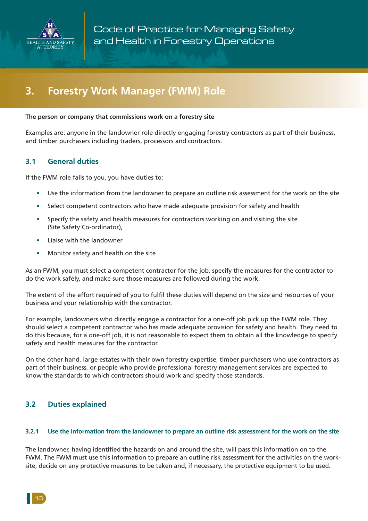

# **3. Forestry Work Manager (FWM) Role**

#### **The person or company that commissions work on a forestry site**

Examples are: anyone in the landowner role directly engaging forestry contractors as part of their business, and timber purchasers including traders, processors and contractors.

## **3.1 General duties**

If the FWM role falls to you, you have duties to:

- Use the information from the landowner to prepare an outline risk assessment for the work on the site
- Select competent contractors who have made adequate provision for safety and health
- Specify the safety and health measures for contractors working on and visiting the site (Site Safety Co-ordinator),
- Liaise with the landowner
- Monitor safety and health on the site

As an FWM, you must select a competent contractor for the job, specify the measures for the contractor to do the work safely, and make sure those measures are followed during the work.

The extent of the effort required of you to fulfil these duties will depend on the size and resources of your business and your relationship with the contractor.

For example, landowners who directly engage a contractor for a one-off job pick up the FWM role. They should select a competent contractor who has made adequate provision for safety and health. They need to do this because, for a one-off job, it is not reasonable to expect them to obtain all the knowledge to specify safety and health measures for the contractor.

On the other hand, large estates with their own forestry expertise, timber purchasers who use contractors as part of their business, or people who provide professional forestry management services are expected to know the standards to which contractors should work and specify those standards.

## **3.2 Duties explained**

#### **3.2.1 Use the information from the landowner to prepare an outline risk assessment for the work on the site**

The landowner, having identified the hazards on and around the site, will pass this information on to the FWM. The FWM must use this information to prepare an outline risk assessment for the activities on the worksite, decide on any protective measures to be taken and, if necessary, the protective equipment to be used.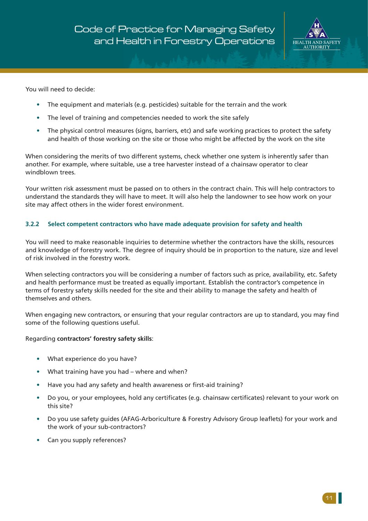

You will need to decide:

- The equipment and materials (e.g. pesticides) suitable for the terrain and the work
- The level of training and competencies needed to work the site safely
- The physical control measures (signs, barriers, etc) and safe working practices to protect the safety and health of those working on the site or those who might be affected by the work on the site

When considering the merits of two different systems, check whether one system is inherently safer than another. For example, where suitable, use a tree harvester instead of a chainsaw operator to clear windblown trees.

Your written risk assessment must be passed on to others in the contract chain. This will help contractors to understand the standards they will have to meet. It will also help the landowner to see how work on your site may affect others in the wider forest environment.

## **3.2.2 Select competent contractors who have made adequate provision for safety and health**

You will need to make reasonable inquiries to determine whether the contractors have the skills, resources and knowledge of forestry work. The degree of inquiry should be in proportion to the nature, size and level of risk involved in the forestry work.

When selecting contractors you will be considering a number of factors such as price, availability, etc. Safety and health performance must be treated as equally important. Establish the contractor's competence in terms of forestry safety skills needed for the site and their ability to manage the safety and health of themselves and others.

When engaging new contractors, or ensuring that your regular contractors are up to standard, you may find some of the following questions useful.

## Regarding **contractors' forestry safety skills**:

- What experience do you have?
- What training have you had where and when?
- Have you had any safety and health awareness or first-aid training?
- Do you, or your employees, hold any certificates (e.g. chainsaw certificates) relevant to your work on this site?
- Do you use safety guides (AFAG-Arboriculture & Forestry Advisory Group leaflets) for your work and the work of your sub-contractors?
- Can you supply references?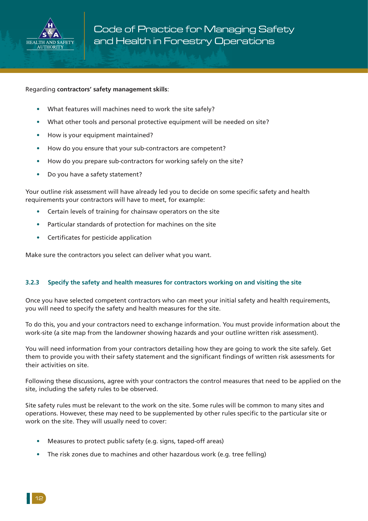

## Regarding **contractors' safety management skills**:

- What features will machines need to work the site safely?
- What other tools and personal protective equipment will be needed on site?
- How is your equipment maintained?
- How do you ensure that your sub-contractors are competent?
- How do you prepare sub-contractors for working safely on the site?
- Do you have a safety statement?

Your outline risk assessment will have already led you to decide on some specific safety and health requirements your contractors will have to meet, for example:

- Certain levels of training for chainsaw operators on the site
- Particular standards of protection for machines on the site
- Certificates for pesticide application

Make sure the contractors you select can deliver what you want.

## **3.2.3 Specify the safety and health measures for contractors working on and visiting the site**

Once you have selected competent contractors who can meet your initial safety and health requirements, you will need to specify the safety and health measures for the site.

To do this, you and your contractors need to exchange information. You must provide information about the work-site (a site map from the landowner showing hazards and your outline written risk assessment).

You will need information from your contractors detailing how they are going to work the site safely. Get them to provide you with their safety statement and the significant findings of written risk assessments for their activities on site.

Following these discussions, agree with your contractors the control measures that need to be applied on the site, including the safety rules to be observed.

Site safety rules must be relevant to the work on the site. Some rules will be common to many sites and operations. However, these may need to be supplemented by other rules specific to the particular site or work on the site. They will usually need to cover:

- Measures to protect public safety (e.g. signs, taped-off areas)
- The risk zones due to machines and other hazardous work (e.g. tree felling)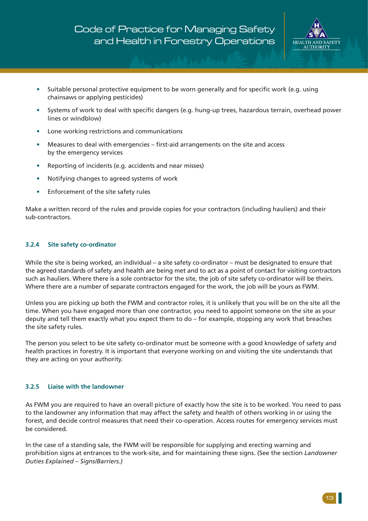

- Suitable personal protective equipment to be worn generally and for specific work (e.g. using chainsaws or applying pesticides)
- Systems of work to deal with specific dangers (e.g. hung-up trees, hazardous terrain, overhead power lines or windblow)
- Lone working restrictions and communications
- Measures to deal with emergencies first-aid arrangements on the site and access by the emergency services
- Reporting of incidents (e.g. accidents and near misses)
- Notifying changes to agreed systems of work
- Enforcement of the site safety rules

Make a written record of the rules and provide copies for your contractors (including hauliers) and their sub-contractors.

## **3.2.4 Site safety co-ordinator**

While the site is being worked, an individual – a site safety co-ordinator – must be designated to ensure that the agreed standards of safety and health are being met and to act as a point of contact for visiting contractors such as hauliers. Where there is a sole contractor for the site, the job of site safety co-ordinator will be theirs. Where there are a number of separate contractors engaged for the work, the job will be yours as FWM.

Unless you are picking up both the FWM and contractor roles, it is unlikely that you will be on the site all the time. When you have engaged more than one contractor, you need to appoint someone on the site as your deputy and tell them exactly what you expect them to do – for example, stopping any work that breaches the site safety rules.

The person you select to be site safety co-ordinator must be someone with a good knowledge of safety and health practices in forestry. It is important that everyone working on and visiting the site understands that they are acting on your authority.

## **3.2.5 Liaise with the landowner**

As FWM you are required to have an overall picture of exactly how the site is to be worked. You need to pass to the landowner any information that may affect the safety and health of others working in or using the forest, and decide control measures that need their co-operation. Access routes for emergency services must be considered.

In the case of a standing sale, the FWM will be responsible for supplying and erecting warning and prohibition signs at entrances to the work-site, and for maintaining these signs. (See the section *Landowner Duties Explained – Signs/Barriers.)*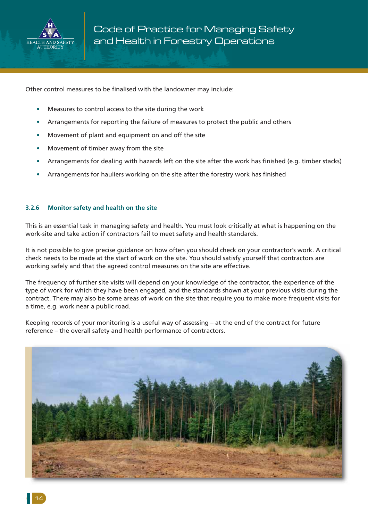

Other control measures to be finalised with the landowner may include:

- Measures to control access to the site during the work
- Arrangements for reporting the failure of measures to protect the public and others
- Movement of plant and equipment on and off the site
- Movement of timber away from the site
- Arrangements for dealing with hazards left on the site after the work has finished (e.g. timber stacks)
- Arrangements for hauliers working on the site after the forestry work has finished

## **3.2.6 Monitor safety and health on the site**

This is an essential task in managing safety and health. You must look critically at what is happening on the work-site and take action if contractors fail to meet safety and health standards.

It is not possible to give precise guidance on how often you should check on your contractor's work. A critical check needs to be made at the start of work on the site. You should satisfy yourself that contractors are working safely and that the agreed control measures on the site are effective.

The frequency of further site visits will depend on your knowledge of the contractor, the experience of the type of work for which they have been engaged, and the standards shown at your previous visits during the contract. There may also be some areas of work on the site that require you to make more frequent visits for a time, e.g. work near a public road.

Keeping records of your monitoring is a useful way of assessing – at the end of the contract for future reference – the overall safety and health performance of contractors.

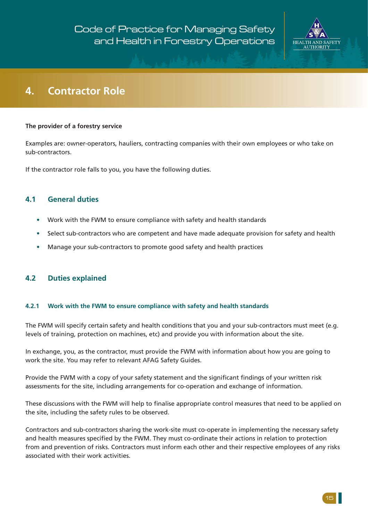

## **4. Contractor Role**

## **The provider of a forestry service**

Examples are: owner-operators, hauliers, contracting companies with their own employees or who take on sub-contractors.

If the contractor role falls to you, you have the following duties.

## **4.1 General duties**

- Work with the FWM to ensure compliance with safety and health standards
- Select sub-contractors who are competent and have made adequate provision for safety and health
- Manage your sub-contractors to promote good safety and health practices

## **4.2 Duties explained**

## **4.2.1 Work with the FWM to ensure compliance with safety and health standards**

The FWM will specify certain safety and health conditions that you and your sub-contractors must meet (e.g. levels of training, protection on machines, etc) and provide you with information about the site.

In exchange, you, as the contractor, must provide the FWM with information about how you are going to work the site. You may refer to relevant AFAG Safety Guides.

Provide the FWM with a copy of your safety statement and the significant findings of your written risk assessments for the site, including arrangements for co-operation and exchange of information.

These discussions with the FWM will help to finalise appropriate control measures that need to be applied on the site, including the safety rules to be observed.

Contractors and sub-contractors sharing the work-site must co-operate in implementing the necessary safety and health measures specified by the FWM. They must co-ordinate their actions in relation to protection from and prevention of risks. Contractors must inform each other and their respective employees of any risks associated with their work activities.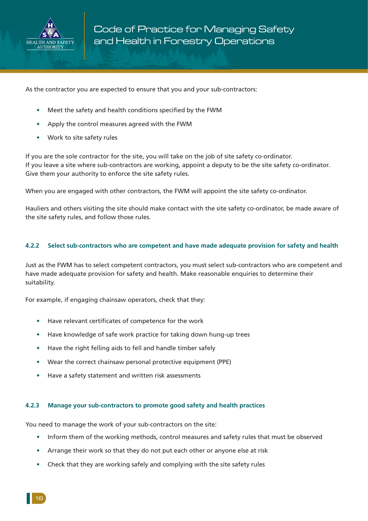

As the contractor you are expected to ensure that you and your sub-contractors:

- Meet the safety and health conditions specified by the FWM
- Apply the control measures agreed with the FWM
- Work to site safety rules

If you are the sole contractor for the site, you will take on the job of site safety co-ordinator. If you leave a site where sub-contractors are working, appoint a deputy to be the site safety co-ordinator. Give them your authority to enforce the site safety rules.

When you are engaged with other contractors, the FWM will appoint the site safety co-ordinator.

Hauliers and others visiting the site should make contact with the site safety co-ordinator, be made aware of the site safety rules, and follow those rules.

## **4.2.2 Select sub-contractors who are competent and have made adequate provision for safety and health**

Just as the FWM has to select competent contractors, you must select sub-contractors who are competent and have made adequate provision for safety and health. Make reasonable enquiries to determine their suitability.

For example, if engaging chainsaw operators, check that they:

- Have relevant certificates of competence for the work
- Have knowledge of safe work practice for taking down hung-up trees
- Have the right felling aids to fell and handle timber safely
- Wear the correct chainsaw personal protective equipment (PPE)
- Have a safety statement and written risk assessments

## **4.2.3 Manage your sub-contractors to promote good safety and health practices**

You need to manage the work of your sub-contractors on the site:

- Inform them of the working methods, control measures and safety rules that must be observed
- Arrange their work so that they do not put each other or anyone else at risk
- Check that they are working safely and complying with the site safety rules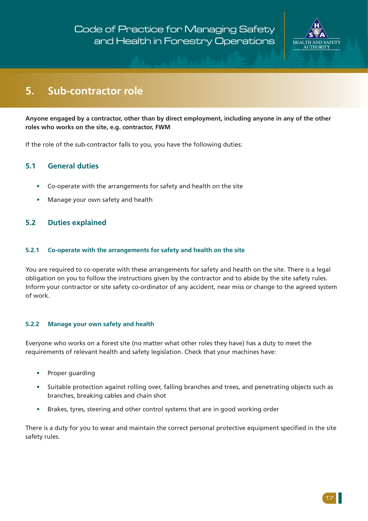

# **5. Sub-contractor role**

## **Anyone engaged by a contractor, other than by direct employment, including anyone in any of the other roles who works on the site, e.g. contractor, FWM**

If the role of the sub-contractor falls to you, you have the following duties:

## **5.1 General duties**

- Co-operate with the arrangements for safety and health on the site
- Manage your own safety and health

## **5.2 Duties explained**

## **5.2.1 Co-operate with the arrangements for safety and health on the site**

You are required to co-operate with these arrangements for safety and health on the site. There is a legal obligation on you to follow the instructions given by the contractor and to abide by the site safety rules. Inform your contractor or site safety co-ordinator of any accident, near miss or change to the agreed system of work.

## **5.2.2 Manage your own safety and health**

Everyone who works on a forest site (no matter what other roles they have) has a duty to meet the requirements of relevant health and safety legislation. Check that your machines have:

- Proper guarding
- Suitable protection against rolling over, falling branches and trees, and penetrating objects such as branches, breaking cables and chain shot
- Brakes, tyres, steering and other control systems that are in good working order

There is a duty for you to wear and maintain the correct personal protective equipment specified in the site safety rules.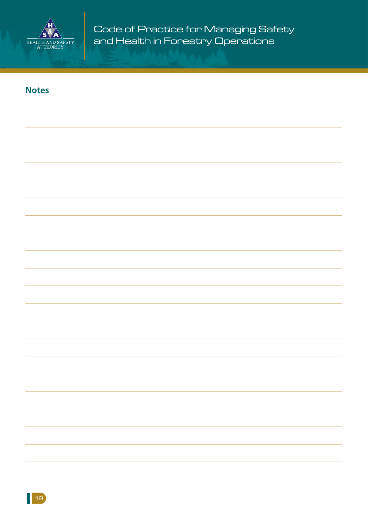

Code of Practice for Managing Safety and Health in Forestry Operations

## **Notes**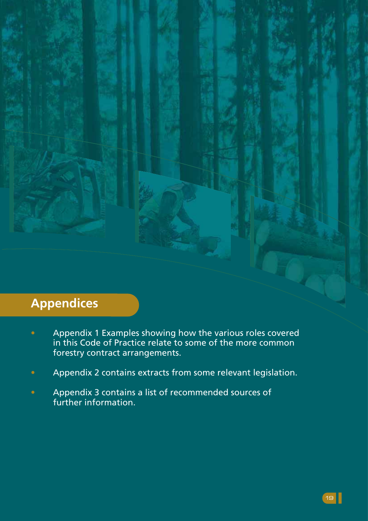# **Appendices**

- Appendix 1 Examples showing how the various roles covered in this Code of Practice relate to some of the more common forestry contract arrangements.
- Appendix 2 contains extracts from some relevant legislation.
- Appendix 3 contains a list of recommended sources of further information.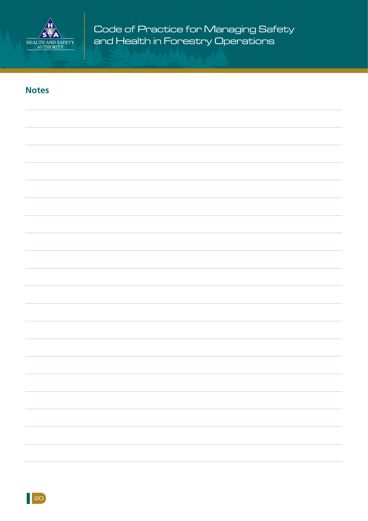

Code of Practice for Managing Safety and Health in Forestry Operations

## **Notes**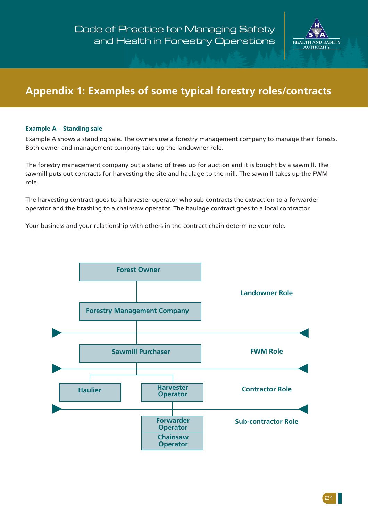

# **Appendix 1: Examples of some typical forestry roles/contracts**

## **Example A – Standing sale**

Example A shows a standing sale. The owners use a forestry management company to manage their forests. Both owner and management company take up the landowner role.

The forestry management company put a stand of trees up for auction and it is bought by a sawmill. The sawmill puts out contracts for harvesting the site and haulage to the mill. The sawmill takes up the FWM role.

The harvesting contract goes to a harvester operator who sub-contracts the extraction to a forwarder operator and the brashing to a chainsaw operator. The haulage contract goes to a local contractor.

Your business and your relationship with others in the contract chain determine your role.

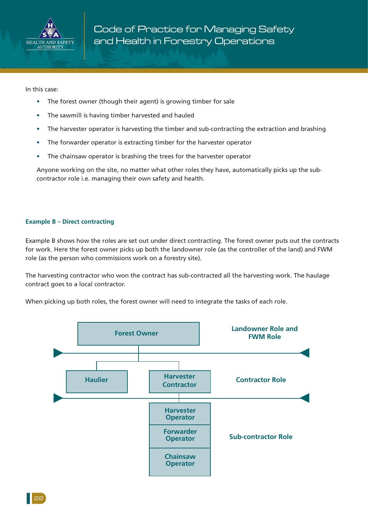

In this case:

- The forest owner (though their agent) is growing timber for sale
- The sawmill is having timber harvested and hauled
- The harvester operator is harvesting the timber and sub-contracting the extraction and brashing
- The forwarder operator is extracting timber for the harvester operator
- The chainsaw operator is brashing the trees for the harvester operator

Anyone working on the site, no matter what other roles they have, automatically picks up the subcontractor role i.e. managing their own safety and health.

## **Example B – Direct contracting**

Example B shows how the roles are set out under direct contracting. The forest owner puts out the contracts for work. Here the forest owner picks up both the landowner role (as the controller of the land) and FWM role (as the person who commissions work on a forestry site).

The harvesting contractor who won the contract has sub-contracted all the harvesting work. The haulage contract goes to a local contractor.

When picking up both roles, the forest owner will need to integrate the tasks of each role.



 $22$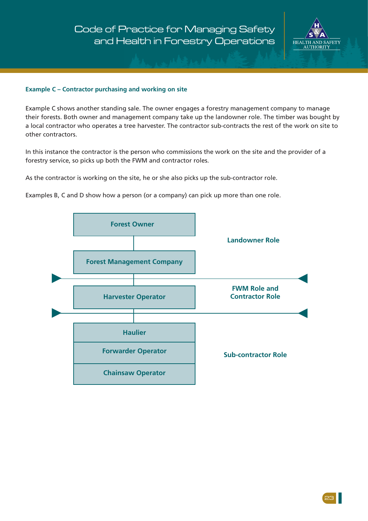

## **Example C – Contractor purchasing and working on site**

Example C shows another standing sale. The owner engages a forestry management company to manage their forests. Both owner and management company take up the landowner role. The timber was bought by a local contractor who operates a tree harvester. The contractor sub-contracts the rest of the work on site to other contractors.

In this instance the contractor is the person who commissions the work on the site and the provider of a forestry service, so picks up both the FWM and contractor roles.

As the contractor is working on the site, he or she also picks up the sub-contractor role.

Examples B, C and D show how a person (or a company) can pick up more than one role.

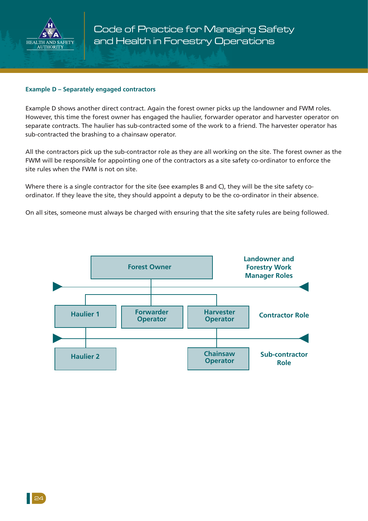

#### **Example D – Separately engaged contractors**

Example D shows another direct contract. Again the forest owner picks up the landowner and FWM roles. However, this time the forest owner has engaged the haulier, forwarder operator and harvester operator on separate contracts. The haulier has sub-contracted some of the work to a friend. The harvester operator has sub-contracted the brashing to a chainsaw operator.

All the contractors pick up the sub-contractor role as they are all working on the site. The forest owner as the FWM will be responsible for appointing one of the contractors as a site safety co-ordinator to enforce the site rules when the FWM is not on site.

Where there is a single contractor for the site (see examples B and C), they will be the site safety coordinator. If they leave the site, they should appoint a deputy to be the co-ordinator in their absence.

On all sites, someone must always be charged with ensuring that the site safety rules are being followed.

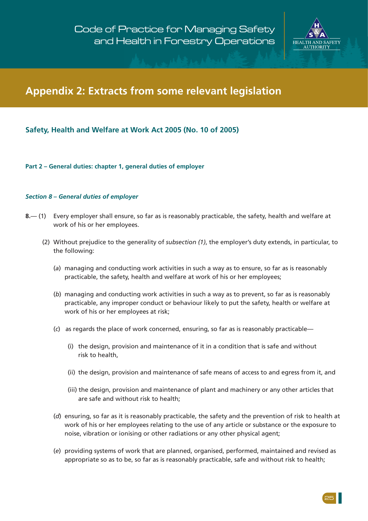

# **Appendix 2: Extracts from some relevant legislation**

## **Safety, Health and Welfare at Work Act 2005 (No. 10 of 2005)**

**Part 2 – General duties: chapter 1, general duties of employer**

#### *Section 8 – General duties of employer*

- **8.** (1) Every employer shall ensure, so far as is reasonably practicable, the safety, health and welfare at work of his or her employees.
	- (2) Without prejudice to the generality of *subsection (1)*, the employer's duty extends, in particular, to the following:
		- (*a*) managing and conducting work activities in such a way as to ensure, so far as is reasonably practicable, the safety, health and welfare at work of his or her employees;
		- (*b*) managing and conducting work activities in such a way as to prevent, so far as is reasonably practicable, any improper conduct or behaviour likely to put the safety, health or welfare at work of his or her employees at risk;
		- (*c*) as regards the place of work concerned, ensuring, so far as is reasonably practicable—
			- (i) the design, provision and maintenance of it in a condition that is safe and without risk to health,
			- (ii) the design, provision and maintenance of safe means of access to and egress from it, and
			- (iii) the design, provision and maintenance of plant and machinery or any other articles that are safe and without risk to health;
		- (*d*) ensuring, so far as it is reasonably practicable, the safety and the prevention of risk to health at work of his or her employees relating to the use of any article or substance or the exposure to noise, vibration or ionising or other radiations or any other physical agent;
		- (*e*) providing systems of work that are planned, organised, performed, maintained and revised as appropriate so as to be, so far as is reasonably practicable, safe and without risk to health;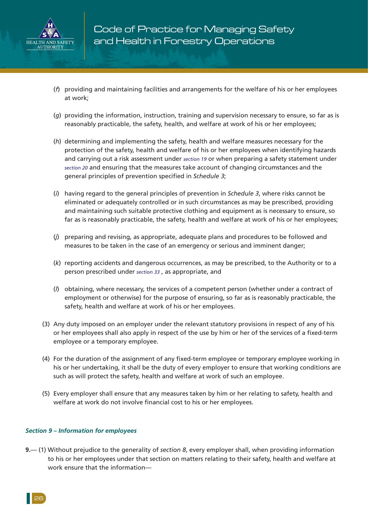

- (*f*) providing and maintaining facilities and arrangements for the welfare of his or her employees at work;
- (*g*) providing the information, instruction, training and supervision necessary to ensure, so far as is reasonably practicable, the safety, health, and welfare at work of his or her employees;
- (*h*) determining and implementing the safety, health and welfare measures necessary for the protection of the safety, health and welfare of his or her employees when identifying hazards and carrying out a risk assessment under *section 19* or when preparing a safety statement under *section 20* and ensuring that the measures take account of changing circumstances and the general principles of prevention specified in *Schedule 3*;
- (*i*) having regard to the general principles of prevention in *Schedule 3*, where risks cannot be eliminated or adequately controlled or in such circumstances as may be prescribed, providing and maintaining such suitable protective clothing and equipment as is necessary to ensure, so far as is reasonably practicable, the safety, health and welfare at work of his or her employees;
- (*j*) preparing and revising, as appropriate, adequate plans and procedures to be followed and measures to be taken in the case of an emergency or serious and imminent danger;
- (*k*) reporting accidents and dangerous occurrences, as may be prescribed, to the Authority or to a person prescribed under *section 33* , as appropriate, and
- (*l*) obtaining, where necessary, the services of a competent person (whether under a contract of employment or otherwise) for the purpose of ensuring, so far as is reasonably practicable, the safety, health and welfare at work of his or her employees.
- (3) Any duty imposed on an employer under the relevant statutory provisions in respect of any of his or her employees shall also apply in respect of the use by him or her of the services of a fixed-term employee or a temporary employee.
- (4) For the duration of the assignment of any fixed-term employee or temporary employee working in his or her undertaking, it shall be the duty of every employer to ensure that working conditions are such as will protect the safety, health and welfare at work of such an employee.
- (5) Every employer shall ensure that any measures taken by him or her relating to safety, health and welfare at work do not involve financial cost to his or her employees.

## *Section 9 – Information for employees*

**9.**— (1) Without prejudice to the generality of *section 8*, every employer shall, when providing information to his or her employees under that section on matters relating to their safety, health and welfare at work ensure that the information—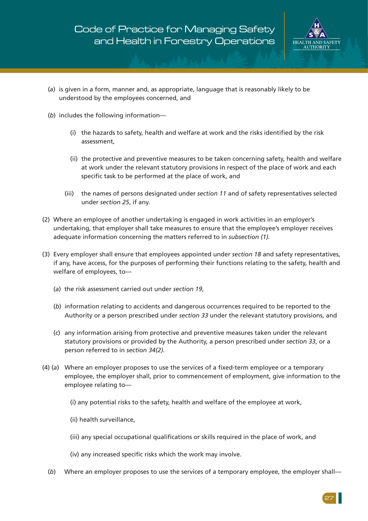

- (*a*) is given in a form, manner and, as appropriate, language that is reasonably likely to be understood by the employees concerned, and
- (*b*) includes the following information—
	- (i) the hazards to safety, health and welfare at work and the risks identified by the risk assessment,
	- (ii) the protective and preventive measures to be taken concerning safety, health and welfare at work under the relevant statutory provisions in respect of the place of work and each specific task to be performed at the place of work, and
	- (iii) the names of persons designated under *section 11* and of safety representatives selected under *section 25*, if any.
- (2) Where an employee of another undertaking is engaged in work activities in an employer's undertaking, that employer shall take measures to ensure that the employee's employer receives adequate information concerning the matters referred to in *subsection (1).*
- (3) Every employer shall ensure that employees appointed under *section 18* and safety representatives, if any, have access, for the purposes of performing their functions relating to the safety, health and welfare of employees, to—
	- (*a*) the risk assessment carried out under *section 19*,
	- (*b*) information relating to accidents and dangerous occurrences required to be reported to the Authority or a person prescribed under *section 33* under the relevant statutory provisions, and
	- (*c*) any information arising from protective and preventive measures taken under the relevant statutory provisions or provided by the Authority, a person prescribed under *section 33*, or a person referred to in *section 34(2)*.
- (4) (*a*) Where an employer proposes to use the services of a fixed-term employee or a temporary employee, the employer shall, prior to commencement of employment, give information to the employee relating to—
	- (i) any potential risks to the safety, health and welfare of the employee at work,
	- (ii) health surveillance,
	- (iii) any special occupational qualifications or skills required in the place of work, and
	- (iv) any increased specific risks which the work may involve.
	- (*b*) Where an employer proposes to use the services of a temporary employee, the employer shall—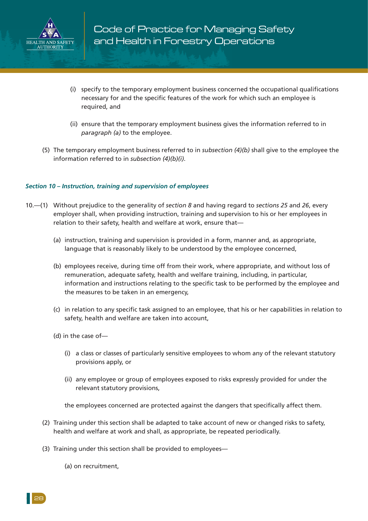

- (i) specify to the temporary employment business concerned the occupational qualifications necessary for and the specific features of the work for which such an employee is required, and
- (ii) ensure that the temporary employment business gives the information referred to in *paragraph (a)* to the employee.
- (5) The temporary employment business referred to in *subsection (4)(b)* shall give to the employee the information referred to in *subsection (4)(b)(i)*.

## *Section 10 – Instruction, training and supervision of employees*

- 10.—(1) Without prejudice to the generality of *section 8* and having regard to *sections 25* and *26*, every employer shall, when providing instruction, training and supervision to his or her employees in relation to their safety, health and welfare at work, ensure that—
	- (a) instruction, training and supervision is provided in a form, manner and, as appropriate, language that is reasonably likely to be understood by the employee concerned,
	- (b) employees receive, during time off from their work, where appropriate, and without loss of remuneration, adequate safety, health and welfare training, including, in particular, information and instructions relating to the specific task to be performed by the employee and the measures to be taken in an emergency,
	- (c) in relation to any specific task assigned to an employee, that his or her capabilities in relation to safety, health and welfare are taken into account,
	- (d) in the case of—
		- (i) a class or classes of particularly sensitive employees to whom any of the relevant statutory provisions apply, or
		- (ii) any employee or group of employees exposed to risks expressly provided for under the relevant statutory provisions,

the employees concerned are protected against the dangers that specifically affect them.

- (2) Training under this section shall be adapted to take account of new or changed risks to safety, health and welfare at work and shall, as appropriate, be repeated periodically.
- (3) Training under this section shall be provided to employees—

(a) on recruitment,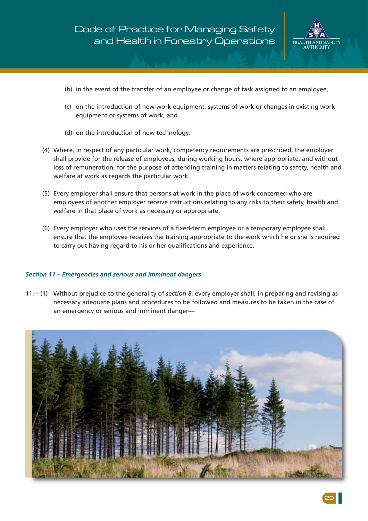

- (b) in the event of the transfer of an employee or change of task assigned to an employee,
- (c) on the introduction of new work equipment, systems of work or changes in existing work equipment or systems of work, and
- (d) on the introduction of new technology.
- (4) Where, in respect of any particular work, competency requirements are prescribed, the employer shall provide for the release of employees, during working hours, where appropriate, and without loss of remuneration, for the purpose of attending training in matters relating to safety, health and welfare at work as regards the particular work.
- (5) Every employer shall ensure that persons at work in the place of work concerned who are employees of another employer receive instructions relating to any risks to their safety, health and welfare in that place of work as necessary or appropriate.
- (6) Every employer who uses the services of a fixed-term employee or a temporary employee shall ensure that the employee receives the training appropriate to the work which he or she is required to carry out having regard to his or her qualifications and experience.

## *Section 11 – Emergencies and serious and imminent dangers*

11.—(1) Without prejudice to the generality of *section 8*, every employer shall, in preparing and revising as necessary adequate plans and procedures to be followed and measures to be taken in the case of an emergency or serious and imminent danger—

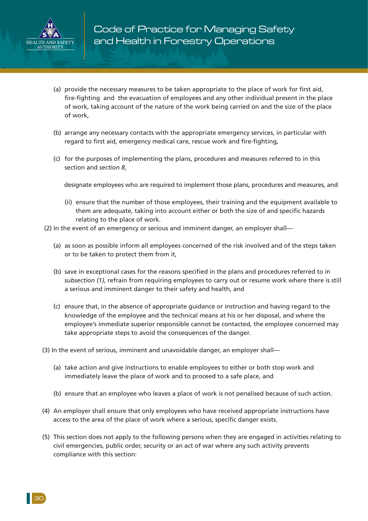

30

- (a) provide the necessary measures to be taken appropriate to the place of work for first aid, fire-fighting and the evacuation of employees and any other individual present in the place of work, taking account of the nature of the work being carried on and the size of the place of work,
- (b) arrange any necessary contacts with the appropriate emergency services, in particular with regard to first aid, emergency medical care, rescue work and fire-fighting,
- (c) for the purposes of implementing the plans, procedures and measures referred to in this section and *section 8*,

designate employees who are required to implement those plans, procedures and measures, and

- (ii) ensure that the number of those employees, their training and the equipment available to them are adequate, taking into account either or both the size of and specific hazards relating to the place of work.
- (2) In the event of an emergency or serious and imminent danger, an employer shall—
	- (a) as soon as possible inform all employees concerned of the risk involved and of the steps taken or to be taken to protect them from it,
	- (b) save in exceptional cases for the reasons specified in the plans and procedures referred to in *subsection (1)*, refrain from requiring employees to carry out or resume work where there is still a serious and imminent danger to their safety and health, and
	- (c) ensure that, in the absence of appropriate guidance or instruction and having regard to the knowledge of the employee and the technical means at his or her disposal, and where the employee's immediate superior responsible cannot be contacted, the employee concerned may take appropriate steps to avoid the consequences of the danger.
- (3) In the event of serious, imminent and unavoidable danger, an employer shall—
	- (a) take action and give instructions to enable employees to either or both stop work and immediately leave the place of work and to proceed to a safe place, and
	- (b) ensure that an employee who leaves a place of work is not penalised because of such action.
- (4) An employer shall ensure that only employees who have received appropriate instructions have access to the area of the place of work where a serious, specific danger exists.
- (5) This section does not apply to the following persons when they are engaged in activities relating to civil emergencies, public order, security or an act of war where any such activity prevents compliance with this section: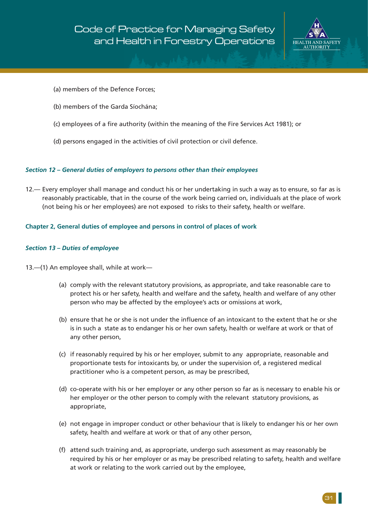

- (a) members of the Defence Forces;
- (b) members of the Garda Síochána;
- (c) employees of a fire authority (within the meaning of the Fire Services Act 1981); or
- (d) persons engaged in the activities of civil protection or civil defence.

## *Section 12 – General duties of employers to persons other than their employees*

12.— Every employer shall manage and conduct his or her undertaking in such a way as to ensure, so far as is reasonably practicable, that in the course of the work being carried on, individuals at the place of work (not being his or her employees) are not exposed to risks to their safety, health or welfare.

## **Chapter 2, General duties of employee and persons in control of places of work**

#### *Section 13 – Duties of employee*

- 13.—(1) An employee shall, while at work—
	- (a) comply with the relevant statutory provisions, as appropriate, and take reasonable care to protect his or her safety, health and welfare and the safety, health and welfare of any other person who may be affected by the employee's acts or omissions at work,
	- (b) ensure that he or she is not under the influence of an intoxicant to the extent that he or she is in such a state as to endanger his or her own safety, health or welfare at work or that of any other person,
	- (c) if reasonably required by his or her employer, submit to any appropriate, reasonable and proportionate tests for intoxicants by, or under the supervision of, a registered medical practitioner who is a competent person, as may be prescribed,
	- (d) co-operate with his or her employer or any other person so far as is necessary to enable his or her employer or the other person to comply with the relevant statutory provisions, as appropriate,
	- (e) not engage in improper conduct or other behaviour that is likely to endanger his or her own safety, health and welfare at work or that of any other person,
	- (f) attend such training and, as appropriate, undergo such assessment as may reasonably be required by his or her employer or as may be prescribed relating to safety, health and welfare at work or relating to the work carried out by the employee,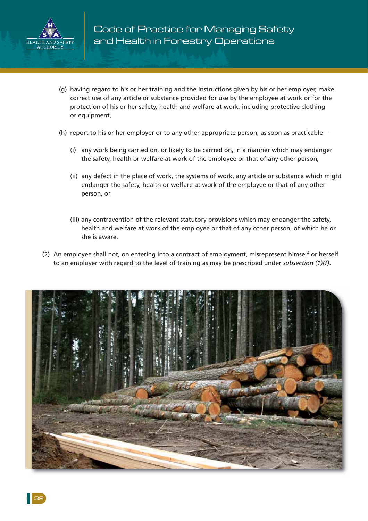

- (g) having regard to his or her training and the instructions given by his or her employer, make correct use of any article or substance provided for use by the employee at work or for the protection of his or her safety, health and welfare at work, including protective clothing or equipment,
- (h) report to his or her employer or to any other appropriate person, as soon as practicable—
	- (i) any work being carried on, or likely to be carried on, in a manner which may endanger the safety, health or welfare at work of the employee or that of any other person,
	- (ii) any defect in the place of work, the systems of work, any article or substance which might endanger the safety, health or welfare at work of the employee or that of any other person, or
	- (iii) any contravention of the relevant statutory provisions which may endanger the safety, health and welfare at work of the employee or that of any other person, of which he or she is aware.
- (2) An employee shall not, on entering into a contract of employment, misrepresent himself or herself to an employer with regard to the level of training as may be prescribed under *subsection (1)(f)*.

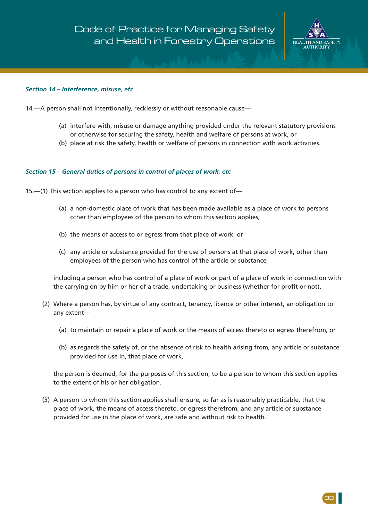

#### *Section 14 – Interference, misuse, etc*

- 14.—A person shall not intentionally, recklessly or without reasonable cause—
	- (a) interfere with, misuse or damage anything provided under the relevant statutory provisions or otherwise for securing the safety, health and welfare of persons at work, or
	- (b) place at risk the safety, health or welfare of persons in connection with work activities.

## *Section 15 – General duties of persons in control of places of work, etc*

15.—(1) This section applies to a person who has control to any extent of—

- (a) a non-domestic place of work that has been made available as a place of work to persons other than employees of the person to whom this section applies,
- (b) the means of access to or egress from that place of work, or
- (c) any article or substance provided for the use of persons at that place of work, other than employees of the person who has control of the article or substance,

including a person who has control of a place of work or part of a place of work in connection with the carrying on by him or her of a trade, undertaking or business (whether for profit or not).

- (2) Where a person has, by virtue of any contract, tenancy, licence or other interest, an obligation to any extent—
	- (a) to maintain or repair a place of work or the means of access thereto or egress therefrom, or
	- (b) as regards the safety of, or the absence of risk to health arising from, any article or substance provided for use in, that place of work,

the person is deemed, for the purposes of this section, to be a person to whom this section applies to the extent of his or her obligation.

(3) A person to whom this section applies shall ensure, so far as is reasonably practicable, that the place of work, the means of access thereto, or egress therefrom, and any article or substance provided for use in the place of work, are safe and without risk to health.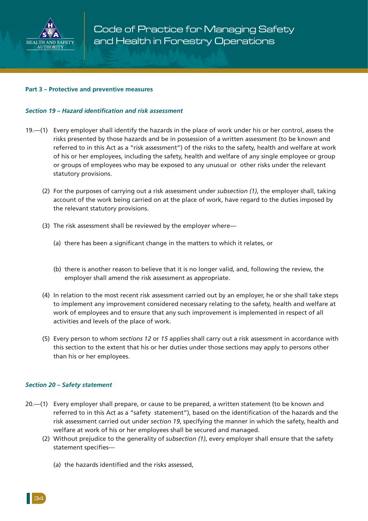

#### **Part 3 – Protective and preventive measures**

#### *Section 19 – Hazard identification and risk assessment*

- 19.—(1) Every employer shall identify the hazards in the place of work under his or her control, assess the risks presented by those hazards and be in possession of a written assessment (to be known and referred to in this Act as a "risk assessment") of the risks to the safety, health and welfare at work of his or her employees, including the safety, health and welfare of any single employee or group or groups of employees who may be exposed to any unusual or other risks under the relevant statutory provisions.
	- (2) For the purposes of carrying out a risk assessment under *subsection (1)*, the employer shall, taking account of the work being carried on at the place of work, have regard to the duties imposed by the relevant statutory provisions.
	- (3) The risk assessment shall be reviewed by the employer where—
		- (a) there has been a significant change in the matters to which it relates, or
		- (b) there is another reason to believe that it is no longer valid, and, following the review, the employer shall amend the risk assessment as appropriate.
	- (4) In relation to the most recent risk assessment carried out by an employer, he or she shall take steps to implement any improvement considered necessary relating to the safety, health and welfare at work of employees and to ensure that any such improvement is implemented in respect of all activities and levels of the place of work.
	- (5) Every person to whom *sections 12* or *15* applies shall carry out a risk assessment in accordance with this section to the extent that his or her duties under those sections may apply to persons other than his or her employees.

#### *Section 20 – Safety statement*

- 20.—(1) Every employer shall prepare, or cause to be prepared, a written statement (to be known and referred to in this Act as a "safety statement"), based on the identification of the hazards and the risk assessment carried out under *section 19*, specifying the manner in which the safety, health and welfare at work of his or her employees shall be secured and managed.
	- (2) Without prejudice to the generality of *subsection (1)*, every employer shall ensure that the safety statement specifies—
		- (a) the hazards identified and the risks assessed,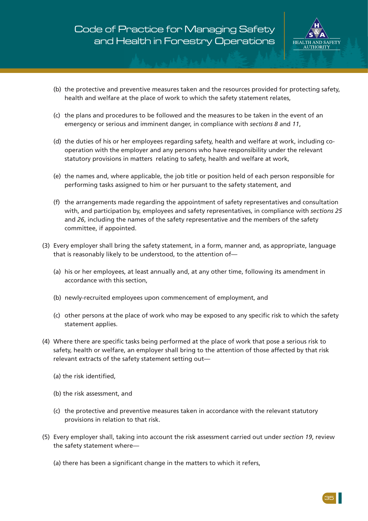

- (b) the protective and preventive measures taken and the resources provided for protecting safety, health and welfare at the place of work to which the safety statement relates,
- (c) the plans and procedures to be followed and the measures to be taken in the event of an emergency or serious and imminent danger, in compliance with *sections 8* and *11*,
- (d) the duties of his or her employees regarding safety, health and welfare at work, including cooperation with the employer and any persons who have responsibility under the relevant statutory provisions in matters relating to safety, health and welfare at work,
- (e) the names and, where applicable, the job title or position held of each person responsible for performing tasks assigned to him or her pursuant to the safety statement, and
- (f) the arrangements made regarding the appointment of safety representatives and consultation with, and participation by, employees and safety representatives, in compliance with *sections 25* and *26*, including the names of the safety representative and the members of the safety committee, if appointed.
- (3) Every employer shall bring the safety statement, in a form, manner and, as appropriate, language that is reasonably likely to be understood, to the attention of—
	- (a) his or her employees, at least annually and, at any other time, following its amendment in accordance with this section,
	- (b) newly-recruited employees upon commencement of employment, and
	- (c) other persons at the place of work who may be exposed to any specific risk to which the safety statement applies.
- (4) Where there are specific tasks being performed at the place of work that pose a serious risk to safety, health or welfare, an employer shall bring to the attention of those affected by that risk relevant extracts of the safety statement setting out—
	- (a) the risk identified,
	- (b) the risk assessment, and
	- (c) the protective and preventive measures taken in accordance with the relevant statutory provisions in relation to that risk.
- (5) Every employer shall, taking into account the risk assessment carried out under *section 19*, review the safety statement where—
	- (a) there has been a significant change in the matters to which it refers,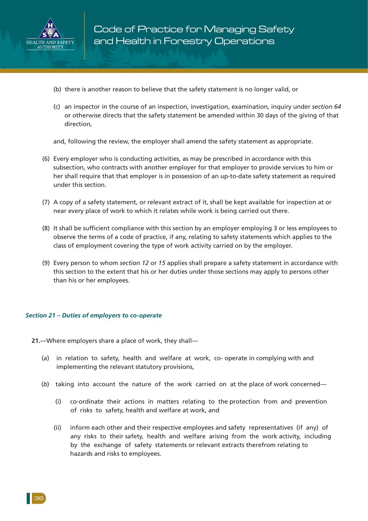

- (b) there is another reason to believe that the safety statement is no longer valid, or
- (c) an inspector in the course of an inspection, investigation, examination, inquiry under *section 64* or otherwise directs that the safety statement be amended within 30 days of the giving of that direction,

and, following the review, the employer shall amend the safety statement as appropriate.

- (6) Every employer who is conducting activities, as may be prescribed in accordance with this subsection, who contracts with another employer for that employer to provide services to him or her shall require that that employer is in possession of an up-to-date safety statement as required under this section.
- (7) A copy of a safety statement, or relevant extract of it, shall be kept available for inspection at or near every place of work to which it relates while work is being carried out there.
- (8) It shall be sufficient compliance with this section by an employer employing 3 or less employees to observe the terms of a code of practice, if any, relating to safety statements which applies to the class of employment covering the type of work activity carried on by the employer.
- (9) Every person to whom *section 12* or *15* applies shall prepare a safety statement in accordance with this section to the extent that his or her duties under those sections may apply to persons other than his or her employees.

## *Section 21 – Duties of employers to co-operate*

36

**21.**—Where employers share a place of work, they shall—

- (*a*) in relation to safety, health and welfare at work, co- operate in complying with and implementing the relevant statutory provisions,
- (*b*) taking into account the nature of the work carried on at the place of work concerned—
	- (i) co-ordinate their actions in matters relating to the protection from and prevention of risks to safety, health and welfare at work, and
	- (ii) inform each other and their respective employees and safety representatives (if any) of any risks to their safety, health and welfare arising from the work activity, including by the exchange of safety statements or relevant extracts therefrom relating to hazards and risks to employees.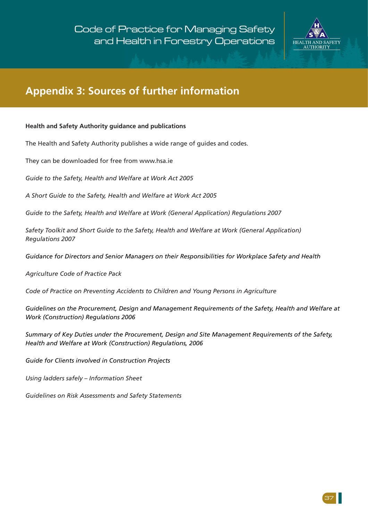

# **Appendix 3: Sources of further information**

## **Health and Safety Authority guidance and publications**

The Health and Safety Authority publishes a wide range of guides and codes.

They can be downloaded for free from www.hsa.ie

*Guide to the Safety, Health and Welfare at Work Act 2005*

*A Short Guide to the Safety, Health and Welfare at Work Act 2005*

*Guide to the Safety, Health and Welfare at Work (General Application) Regulations 2007*

*Safety Toolkit and Short Guide to the Safety, Health and Welfare at Work (General Application) Regulations 2007*

*Guidance for Directors and Senior Managers on their Responsibilities for Workplace Safety and Health*

*Agriculture Code of Practice Pack*

*Code of Practice on Preventing Accidents to Children and Young Persons in Agriculture*

*Guidelines on the Procurement, Design and Management Requirements of the Safety, Health and Welfare at Work (Construction) Regulations 2006*

*Summary of Key Duties under the Procurement, Design and Site Management Requirements of the Safety, Health and Welfare at Work (Construction) Regulations, 2006*

*Guide for Clients involved in Construction Projects*

*Using ladders safely – Information Sheet*

*Guidelines on Risk Assessments and Safety Statements*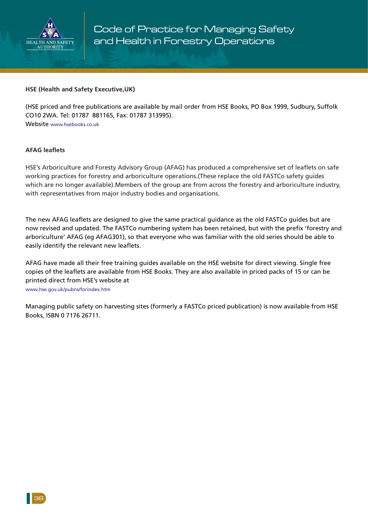

## **HSE (Health and Safety Executive,UK)**

(HSE priced and free publications are available by mail order from HSE Books, PO Box 1999, Sudbury, Suffolk CO10 2WA. Tel: 01787 881165, Fax: 01787 313995).

Website www.hsebooks.co.uk

## **AFAG leaflets**

HSE's Arboriculture and Foresty Advisory Group (AFAG) has produced a comprehensive set of leaflets on safe working practices for forestry and arboriculture operations.(These replace the old FASTCo safety guides which are no longer available).Members of the group are from across the forestry and arboriculture industry, with representatives from major industry bodies and organisations.

The new AFAG leaflets are designed to give the same practical guidance as the old FASTCo guides but are now revised and updated. The FASTCo numbering system has been retained, but with the prefix 'forestry and arboriculture' AFAG (eg AFAG301), so that everyone who was familiar with the old series should be able to easily identify the relevant new leaflets.

AFAG have made all their free training guides available on the HSE website for direct viewing. Single free copies of the leaflets are available from HSE Books. They are also available in priced packs of 15 or can be printed direct from HSE's website at

www.hse.gov.uk/pubns/forindex.htm

38

Managing public safety on harvesting sites (formerly a FASTCo priced publication) is now available from HSE Books, ISBN 0 7176 26711.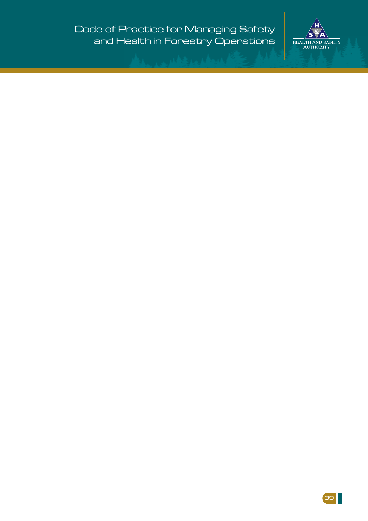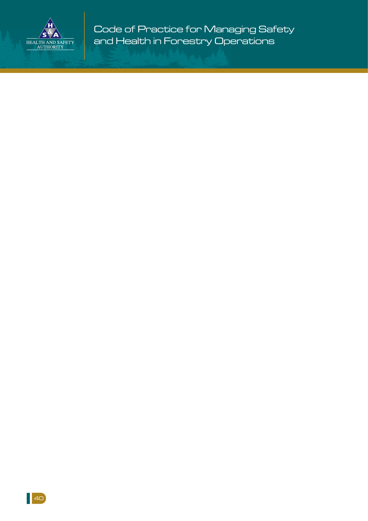

140

Code of Practice for Managing Safety and Health in Forestry Operations